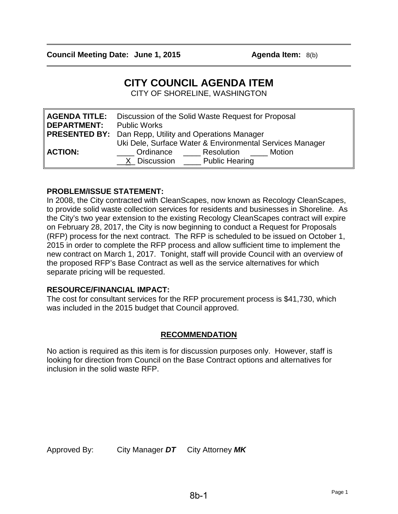$\overline{\phantom{a}}$ 

 $\overline{\phantom{a}}$ 

# **CITY COUNCIL AGENDA ITEM**

CITY OF SHORELINE, WASHINGTON

| <b>DEPARTMENT:</b> Public Works | <b>AGENDA TITLE:</b> Discussion of the Solid Waste Request for Proposal                                                      |  |  |
|---------------------------------|------------------------------------------------------------------------------------------------------------------------------|--|--|
|                                 | <b>PRESENTED BY:</b> Dan Repp, Utility and Operations Manager                                                                |  |  |
| <b>ACTION:</b>                  | Uki Dele, Surface Water & Environmental Services Manager<br>Motion<br>Ordinance<br>Resolution<br>X Discussion Public Hearing |  |  |

#### **PROBLEM/ISSUE STATEMENT:**

In 2008, the City contracted with CleanScapes, now known as Recology CleanScapes, to provide solid waste collection services for residents and businesses in Shoreline. As the City's two year extension to the existing Recology CleanScapes contract will expire on February 28, 2017, the City is now beginning to conduct a Request for Proposals (RFP) process for the next contract. The RFP is scheduled to be issued on October 1, 2015 in order to complete the RFP process and allow sufficient time to implement the new contract on March 1, 2017. Tonight, staff will provide Council with an overview of the proposed RFP's Base Contract as well as the service alternatives for which separate pricing will be requested.

#### **RESOURCE/FINANCIAL IMPACT:**

The cost for consultant services for the RFP procurement process is \$41,730, which was included in the 2015 budget that Council approved.

## **RECOMMENDATION**

No action is required as this item is for discussion purposes only. However, staff is looking for direction from Council on the Base Contract options and alternatives for inclusion in the solid waste RFP.

Approved By: City Manager *DT* City Attorney *MK*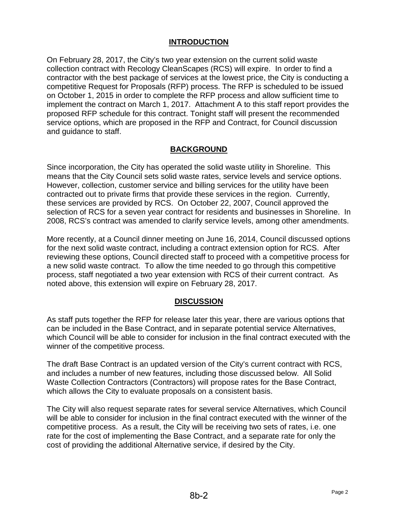## **INTRODUCTION**

On February 28, 2017, the City's two year extension on the current solid waste collection contract with Recology CleanScapes (RCS) will expire. In order to find a contractor with the best package of services at the lowest price, the City is conducting a competitive Request for Proposals (RFP) process. The RFP is scheduled to be issued on October 1, 2015 in order to complete the RFP process and allow sufficient time to implement the contract on March 1, 2017. Attachment A to this staff report provides the proposed RFP schedule for this contract. Tonight staff will present the recommended service options, which are proposed in the RFP and Contract, for Council discussion and guidance to staff.

#### **BACKGROUND**

Since incorporation, the City has operated the solid waste utility in Shoreline. This means that the City Council sets solid waste rates, service levels and service options. However, collection, customer service and billing services for the utility have been contracted out to private firms that provide these services in the region. Currently, these services are provided by RCS. On October 22, 2007, Council approved the selection of RCS for a seven year contract for residents and businesses in Shoreline. In 2008, RCS's contract was amended to clarify service levels, among other amendments.

More recently, at a Council dinner meeting on June 16, 2014, Council discussed options for the next solid waste contract, including a contract extension option for RCS. After reviewing these options, Council directed staff to proceed with a competitive process for a new solid waste contract. To allow the time needed to go through this competitive process, staff negotiated a two year extension with RCS of their current contract. As noted above, this extension will expire on February 28, 2017.

#### **DISCUSSION**

As staff puts together the RFP for release later this year, there are various options that can be included in the Base Contract, and in separate potential service Alternatives, which Council will be able to consider for inclusion in the final contract executed with the winner of the competitive process.

The draft Base Contract is an updated version of the City's current contract with RCS, and includes a number of new features, including those discussed below. All Solid Waste Collection Contractors (Contractors) will propose rates for the Base Contract, which allows the City to evaluate proposals on a consistent basis.

The City will also request separate rates for several service Alternatives, which Council will be able to consider for inclusion in the final contract executed with the winner of the competitive process. As a result, the City will be receiving two sets of rates, i.e. one rate for the cost of implementing the Base Contract, and a separate rate for only the cost of providing the additional Alternative service, if desired by the City.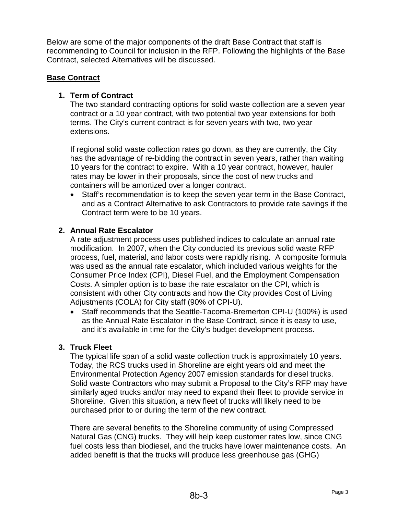Below are some of the major components of the draft Base Contract that staff is recommending to Council for inclusion in the RFP. Following the highlights of the Base Contract, selected Alternatives will be discussed.

## **Base Contract**

## **1. Term of Contract**

The two standard contracting options for solid waste collection are a seven year contract or a 10 year contract, with two potential two year extensions for both terms. The City's current contract is for seven years with two, two year extensions.

If regional solid waste collection rates go down, as they are currently, the City has the advantage of re-bidding the contract in seven years, rather than waiting 10 years for the contract to expire. With a 10 year contract, however, hauler rates may be lower in their proposals, since the cost of new trucks and containers will be amortized over a longer contract.

• Staff's recommendation is to keep the seven year term in the Base Contract, and as a Contract Alternative to ask Contractors to provide rate savings if the Contract term were to be 10 years.

#### **2. Annual Rate Escalator**

A rate adjustment process uses published indices to calculate an annual rate modification. In 2007, when the City conducted its previous solid waste RFP process, fuel, material, and labor costs were rapidly rising. A composite formula was used as the annual rate escalator, which included various weights for the Consumer Price Index (CPI), Diesel Fuel, and the Employment Compensation Costs. A simpler option is to base the rate escalator on the CPI, which is consistent with other City contracts and how the City provides Cost of Living Adjustments (COLA) for City staff (90% of CPI-U).

• Staff recommends that the Seattle-Tacoma-Bremerton CPI-U (100%) is used as the Annual Rate Escalator in the Base Contract, since it is easy to use, and it's available in time for the City's budget development process.

#### **3. Truck Fleet**

The typical life span of a solid waste collection truck is approximately 10 years. Today, the RCS trucks used in Shoreline are eight years old and meet the Environmental Protection Agency 2007 emission standards for diesel trucks. Solid waste Contractors who may submit a Proposal to the City's RFP may have similarly aged trucks and/or may need to expand their fleet to provide service in Shoreline. Given this situation, a new fleet of trucks will likely need to be purchased prior to or during the term of the new contract.

There are several benefits to the Shoreline community of using Compressed Natural Gas (CNG) trucks. They will help keep customer rates low, since CNG fuel costs less than biodiesel, and the trucks have lower maintenance costs. An added benefit is that the trucks will produce less greenhouse gas (GHG)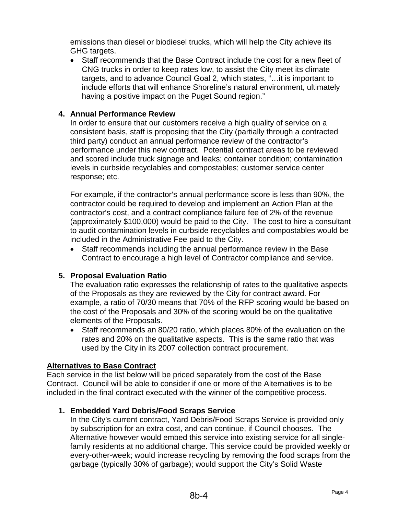emissions than diesel or biodiesel trucks, which will help the City achieve its GHG targets.

• Staff recommends that the Base Contract include the cost for a new fleet of CNG trucks in order to keep rates low, to assist the City meet its climate targets, and to advance Council Goal 2, which states, "…it is important to include efforts that will enhance Shoreline's natural environment, ultimately having a positive impact on the Puget Sound region."

## **4. Annual Performance Review**

In order to ensure that our customers receive a high quality of service on a consistent basis, staff is proposing that the City (partially through a contracted third party) conduct an annual performance review of the contractor's performance under this new contract. Potential contract areas to be reviewed and scored include truck signage and leaks; container condition; contamination levels in curbside recyclables and compostables; customer service center response; etc.

For example, if the contractor's annual performance score is less than 90%, the contractor could be required to develop and implement an Action Plan at the contractor's cost, and a contract compliance failure fee of 2% of the revenue (approximately \$100,000) would be paid to the City. The cost to hire a consultant to audit contamination levels in curbside recyclables and compostables would be included in the Administrative Fee paid to the City.

• Staff recommends including the annual performance review in the Base Contract to encourage a high level of Contractor compliance and service.

#### **5. Proposal Evaluation Ratio**

The evaluation ratio expresses the relationship of rates to the qualitative aspects of the Proposals as they are reviewed by the City for contract award. For example, a ratio of 70/30 means that 70% of the RFP scoring would be based on the cost of the Proposals and 30% of the scoring would be on the qualitative elements of the Proposals.

• Staff recommends an 80/20 ratio, which places 80% of the evaluation on the rates and 20% on the qualitative aspects. This is the same ratio that was used by the City in its 2007 collection contract procurement.

#### **Alternatives to Base Contract**

Each service in the list below will be priced separately from the cost of the Base Contract. Council will be able to consider if one or more of the Alternatives is to be included in the final contract executed with the winner of the competitive process.

#### **1. Embedded Yard Debris/Food Scraps Service**

In the City's current contract, Yard Debris/Food Scraps Service is provided only by subscription for an extra cost, and can continue, if Council chooses. The Alternative however would embed this service into existing service for all singlefamily residents at no additional charge. This service could be provided weekly or every-other-week; would increase recycling by removing the food scraps from the garbage (typically 30% of garbage); would support the City's Solid Waste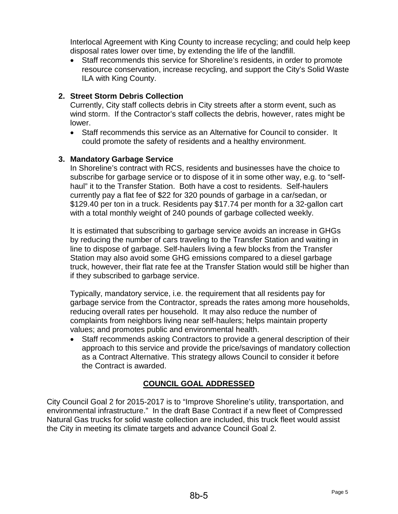Interlocal Agreement with King County to increase recycling; and could help keep disposal rates lower over time, by extending the life of the landfill.

• Staff recommends this service for Shoreline's residents, in order to promote resource conservation, increase recycling, and support the City's Solid Waste ILA with King County.

## **2. Street Storm Debris Collection**

Currently, City staff collects debris in City streets after a storm event, such as wind storm. If the Contractor's staff collects the debris, however, rates might be lower.

• Staff recommends this service as an Alternative for Council to consider. It could promote the safety of residents and a healthy environment.

#### **3. Mandatory Garbage Service**

In Shoreline's contract with RCS, residents and businesses have the choice to subscribe for garbage service or to dispose of it in some other way, e.g. to "selfhaul" it to the Transfer Station. Both have a cost to residents. Self-haulers currently pay a flat fee of \$22 for 320 pounds of garbage in a car/sedan, or \$129.40 per ton in a truck. Residents pay \$17.74 per month for a 32-gallon cart with a total monthly weight of 240 pounds of garbage collected weekly.

It is estimated that subscribing to garbage service avoids an increase in GHGs by reducing the number of cars traveling to the Transfer Station and waiting in line to dispose of garbage. Self-haulers living a few blocks from the Transfer Station may also avoid some GHG emissions compared to a diesel garbage truck, however, their flat rate fee at the Transfer Station would still be higher than if they subscribed to garbage service.

Typically, mandatory service, i.e. the requirement that all residents pay for garbage service from the Contractor, spreads the rates among more households, reducing overall rates per household. It may also reduce the number of complaints from neighbors living near self-haulers; helps maintain property values; and promotes public and environmental health.

• Staff recommends asking Contractors to provide a general description of their approach to this service and provide the price/savings of mandatory collection as a Contract Alternative. This strategy allows Council to consider it before the Contract is awarded.

## **COUNCIL GOAL ADDRESSED**

City Council Goal 2 for 2015-2017 is to "Improve Shoreline's utility, transportation, and environmental infrastructure." In the draft Base Contract if a new fleet of Compressed Natural Gas trucks for solid waste collection are included, this truck fleet would assist the City in meeting its climate targets and advance Council Goal 2.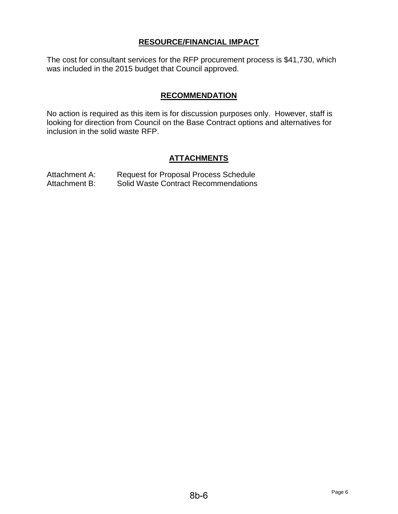## **RESOURCE/FINANCIAL IMPACT**

The cost for consultant services for the RFP procurement process is \$41,730, which was included in the 2015 budget that Council approved.

## **RECOMMENDATION**

No action is required as this item is for discussion purposes only. However, staff is looking for direction from Council on the Base Contract options and alternatives for inclusion in the solid waste RFP.

#### **ATTACHMENTS**

| Attachment A: | <b>Request for Proposal Process Schedule</b> |
|---------------|----------------------------------------------|
| Attachment B: | <b>Solid Waste Contract Recommendations</b>  |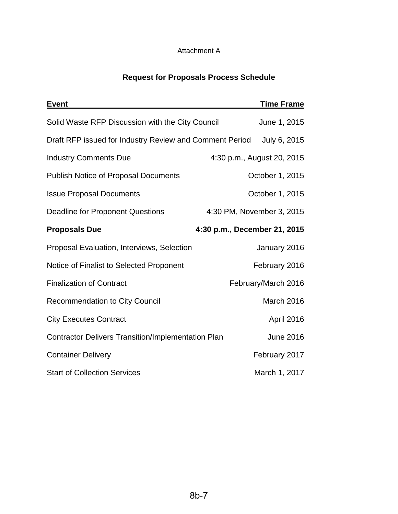## Attachment A

## **Request for Proposals Process Schedule**

| <b>Event</b>                                              |                              | <b>Time Frame</b>          |
|-----------------------------------------------------------|------------------------------|----------------------------|
| Solid Waste RFP Discussion with the City Council          |                              | June 1, 2015               |
| Draft RFP issued for Industry Review and Comment Period   |                              | July 6, 2015               |
| <b>Industry Comments Due</b>                              |                              | 4:30 p.m., August 20, 2015 |
| <b>Publish Notice of Proposal Documents</b>               |                              | October 1, 2015            |
| <b>Issue Proposal Documents</b>                           |                              | October 1, 2015            |
| <b>Deadline for Proponent Questions</b>                   |                              | 4:30 PM, November 3, 2015  |
| <b>Proposals Due</b>                                      | 4:30 p.m., December 21, 2015 |                            |
| Proposal Evaluation, Interviews, Selection                |                              | January 2016               |
| Notice of Finalist to Selected Proponent                  |                              | February 2016              |
| <b>Finalization of Contract</b>                           |                              | February/March 2016        |
| <b>Recommendation to City Council</b>                     |                              | March 2016                 |
| <b>City Executes Contract</b>                             |                              | April 2016                 |
| <b>Contractor Delivers Transition/Implementation Plan</b> |                              | <b>June 2016</b>           |
| <b>Container Delivery</b>                                 |                              | February 2017              |
| <b>Start of Collection Services</b>                       |                              | March 1, 2017              |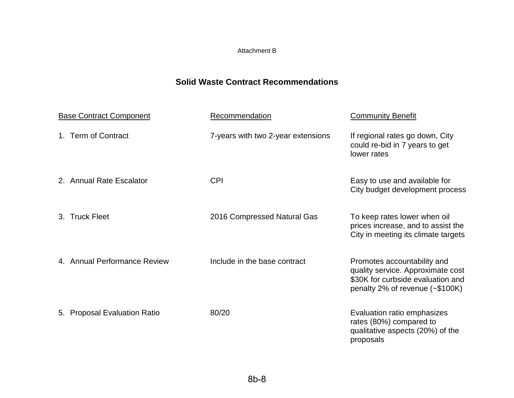#### Attachment B

## **Solid Waste Contract Recommendations**

| <b>Base Contract Component</b> | Recommendation                     | <b>Community Benefit</b>                                                                                                                   |
|--------------------------------|------------------------------------|--------------------------------------------------------------------------------------------------------------------------------------------|
| 1. Term of Contract            | 7-years with two 2-year extensions | If regional rates go down, City<br>could re-bid in 7 years to get<br>lower rates                                                           |
| 2. Annual Rate Escalator       | <b>CPI</b>                         | Easy to use and available for<br>City budget development process                                                                           |
| <b>Truck Fleet</b><br>$3_{-}$  | 2016 Compressed Natural Gas        | To keep rates lower when oil<br>prices increase, and to assist the<br>City in meeting its climate targets                                  |
| 4. Annual Performance Review   | Include in the base contract       | Promotes accountability and<br>quality service. Approximate cost<br>\$30K for curbside evaluation and<br>penalty 2% of revenue $(-\$100K)$ |
| 5. Proposal Evaluation Ratio   | 80/20                              | Evaluation ratio emphasizes<br>rates (80%) compared to<br>qualitative aspects (20%) of the<br>proposals                                    |